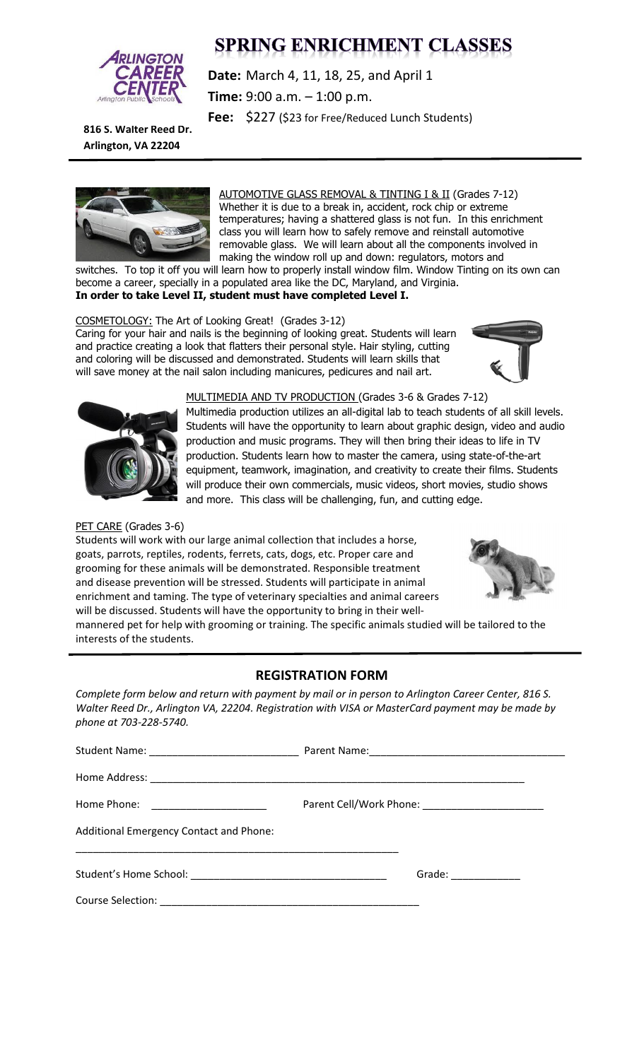

#### **SPRING ENRICHMENT CLASSES**

**Date:** March 4, 11, 18, 25, and April 1 **Time:** 9:00 a.m. – 1:00 p.m.

Fee: \$227 (\$23 for Free/Reduced Lunch Students)

**816 S. Walter Reed Dr. Arlington, VA 22204**



AUTOMOTIVE GLASS REMOVAL & TINTING I & II (Grades 7-12) Whether it is due to a break in, accident, rock chip or extreme temperatures; having a shattered glass is not fun. In this enrichment class you will learn how to safely remove and reinstall automotive removable glass. We will learn about all the components involved in making the window roll up and down: regulators, motors and

switches. To top it off you will learn how to properly install window film. Window Tinting on its own can become a career, specially in a populated area like the DC, Maryland, and Virginia. **In order to take Level II, student must have completed Level I.**

#### COSMETOLOGY: The Art of Looking Great! (Grades 3-12)

Caring for your hair and nails is the beginning of looking great. Students will learn and practice creating a look that flatters their personal style. Hair styling, cutting and coloring will be discussed and demonstrated. Students will learn skills that will save money at the nail salon including manicures, pedicures and nail art.





#### MULTIMEDIA AND TV PRODUCTION (Grades 3-6 & Grades 7-12)

Multimedia production utilizes an all-digital lab to teach students of all skill levels. Students will have the opportunity to learn about graphic design, video and audio production and music programs. They will then bring their ideas to life in TV production. Students learn how to master the camera, using state-of-the-art equipment, teamwork, imagination, and creativity to create their films. Students will produce their own commercials, music videos, short movies, studio shows and more. This class will be challenging, fun, and cutting edge.

PET CARE (Grades 3-6)

Students will work with our large animal collection that includes a horse, goats, parrots, reptiles, rodents, ferrets, cats, dogs, etc. Proper care and grooming for these animals will be demonstrated. Responsible treatment and disease prevention will be stressed. Students will participate in animal enrichment and taming. The type of veterinary specialties and animal careers will be discussed. Students will have the opportunity to bring in their well-



mannered pet for help with grooming or training. The specific animals studied will be tailored to the interests of the students.

#### **REGISTRATION FORM**

*Complete form below and return with payment by mail or in person to Arlington Career Center, 816 S. Walter Reed Dr., Arlington VA, 22204. Registration with VISA or MasterCard payment may be made by phone at 703-228-5740.*

| Home Phone: _____________________       |                      |
|-----------------------------------------|----------------------|
| Additional Emergency Contact and Phone: |                      |
|                                         | Grade: _____________ |
|                                         |                      |